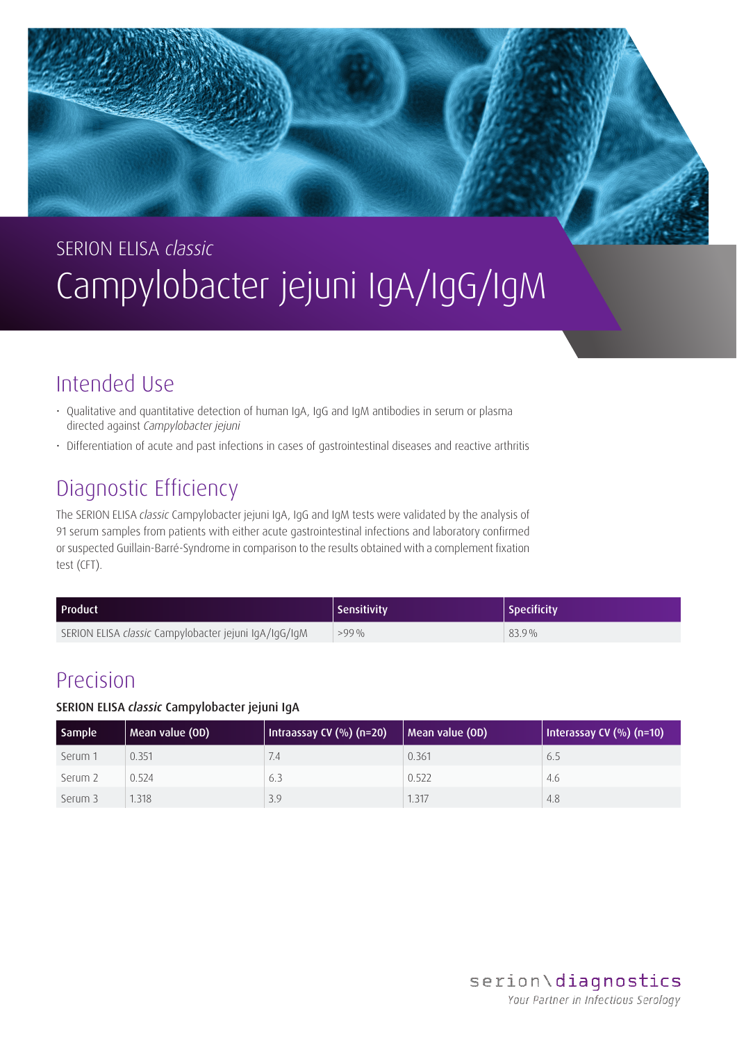# SERION ELISA *classic* Campylobacter jejuni IgA/IgG/IgM

## Intended Use

- Qualitative and quantitative detection of human IgA, IgG and IgM antibodies in serum or plasma directed against *Campylobacter jejuni*
- Differentiation of acute and past infections in cases of gastrointestinal diseases and reactive arthritis

## Diagnostic Efficiency

The SERION ELISA *classic* Campylobacter jejuni IgA, IgG and IgM tests were validated by the analysis of 91 serum samples from patients with either acute gastrointestinal infections and laboratory confirmed or suspected Guillain-Barré-Syndrome in comparison to the results obtained with a complement fixation test (CFT).

| <b>Product</b>                                        | <b>Sensitivity</b> | Specificity |
|-------------------------------------------------------|--------------------|-------------|
| SERION ELISA classic Campylobacter jejuni IgA/IgG/IgM | $>99\%$            | $83.9\%$    |

### Precision

### SERION ELISA *classic* Campylobacter jejuni IgA

| Sample  | Mean value (OD) | Intraassay CV (%) (n=20) | Mean value (OD) | Interassay CV $(\%)$ (n=10) |
|---------|-----------------|--------------------------|-----------------|-----------------------------|
| Serum 1 | 0.351           | /4                       | 0.361           | 6.5                         |
| Serum 2 | 0.524           | 6.3                      | 0.522           | 4.6                         |
| Serum 3 | 1.318           | 3.9                      | 1.317           | 4.8                         |